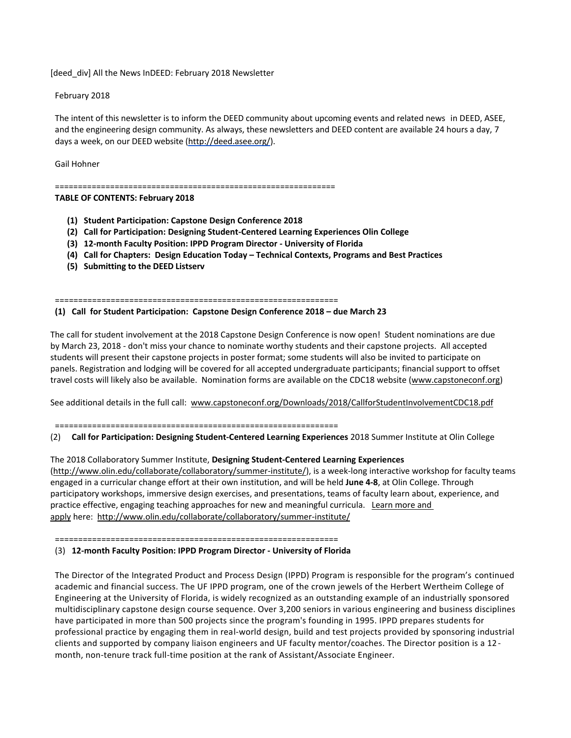[deed div] All the News InDEED: February 2018 Newsletter

February 2018

The intent of this newsletter is to inform the DEED community about upcoming events and related news in DEED, ASEE, and the engineering design community. As always, these newsletters and DEED content are available 24 hours a day, 7 days a week, on our DEED website [\(http://deed.asee.org/\)](http://deed.asee.org/).

Gail Hohner

=============================================================

### **TABLE OF CONTENTS: February 2018**

- **(1) Student Participation: Capstone Design Conference 2018**
- **(2) Call for Participation: Designing Student-Centered Learning Experiences Olin College**
- **(3) 12-month Faculty Position: IPPD Program Director - University of Florida**
- **(4) Call for Chapters: Design Education Today – Technical Contexts, Programs and Best Practices**
- **(5) Submitting to the DEED Listserv**

=============================================================

### **(1) Call for Student Participation: Capstone Design Conference 2018 – due March 23**

The call for student involvement at the 2018 Capstone Design Conference is now open! Student nominations are due by March 23, 2018 - don't miss your chance to nominate worthy students and their capstone projects. All accepted students will present their capstone projects in poster format; some students will also be invited to participate on panels. Registration and lodging will be covered for all accepted undergraduate participants; financial support to offset travel costs will likely also be available. Nomination forms are available on the CDC18 website [\(www.capstoneconf.org\)](http://www.capstoneconf.org/)

See additional details in the full call: [www.capstoneconf.org/Downloads/2018/CallforStudentInvolvementCDC18.pdf](http://www.capstoneconf.org/Downloads/2018/CallforStudentInvolvementCDC18.pdf)

=============================================================

(2) **Call for Participation: Designing Student-Centered Learning Experiences** 2018 Summer Institute at Olin College

## The 2018 Collaboratory Summer Institute, **Designing Student-Centered Learning Experiences**

[\(http://www.olin.edu/collaborate/collaboratory/summer-institute/\)](http://www.olin.edu/collaborate/collaboratory/summer-institute/), is a week-long interactive workshop for faculty teams engaged in a curricular change effort at their own institution, and will be held **June 4-8**, at Olin College. Through participatory workshops, immersive design exercises, and presentations, teams of faculty learn about, experience, and practice effective, engaging teaching approaches for new and meaningful curricula. Learn more and [apply](http://www.olin.edu/collaborate/collaboratory/summer-institute/) here:<http://www.olin.edu/collaborate/collaboratory/summer-institute/>

=============================================================

## (3) **12-month Faculty Position: IPPD Program Director - University of Florida**

The Director of the Integrated Product and Process Design (IPPD) Program is responsible for the program's continued academic and financial success. The UF IPPD program, one of the crown jewels of the Herbert Wertheim College of Engineering at the University of Florida, is widely recognized as an outstanding example of an industrially sponsored multidisciplinary capstone design course sequence. Over 3,200 seniors in various engineering and business disciplines have participated in more than 500 projects since the program's founding in 1995. IPPD prepares students for professional practice by engaging them in real-world design, build and test projects provided by sponsoring industrial clients and supported by company liaison engineers and UF faculty mentor/coaches. The Director position is a 12 month, non-tenure track full-time position at the rank of Assistant/Associate Engineer.